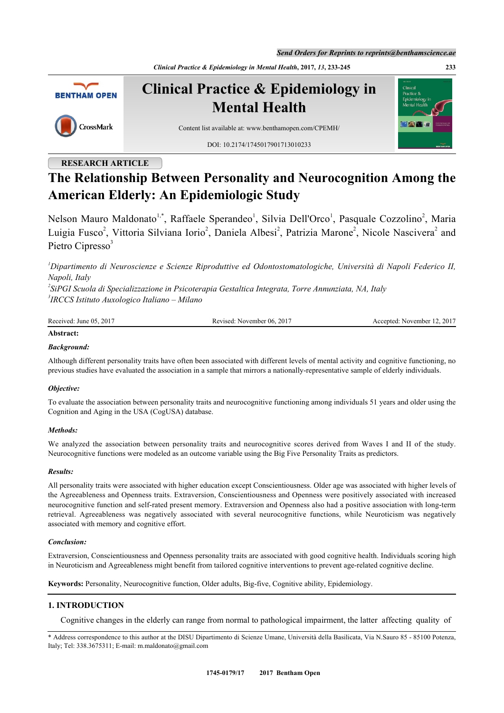*Send Orders for Reprints to reprints@benthamscience.ae*

*Clinical Practice & Epidemiology in Mental Health***, 2017,** *13***, 233-245 233**



**Clinical Practice & Epidemiology in Mental Health**

# CrossMark

Content list available at: [www.benthamopen.com/CPEMH/](http://www.benthamopen.com/CPEMH/)

DOI: [10.2174/1745017901713010233](http://dx.doi.org/10.2174/1745017901713010233)

# **RESEARCH ARTICLE**

# **The Relationship Between Personality and Neurocognition Among the American Elderly: An Epidemiologic Study**

Nelson Mauro Maldonato<sup>[1](#page-0-0)[,\\*](#page-0-1)</sup>, Raffaele Sperandeo<sup>1</sup>, Silvia Dell'Orco<sup>1</sup>, Pasquale Cozzolino<sup>[2](#page-0-2)</sup>, Maria Luigia Fusco<sup>[2](#page-0-2)</sup>, Vittoria Silviana Iorio<sup>2</sup>, Daniela Albesi<sup>2</sup>, Patrizia Marone<sup>2</sup>, Nicole Nascivera<sup>2</sup> and Pietro Cipresso<sup>[3](#page-0-3)</sup>

<span id="page-0-0"></span>*<sup>1</sup>Dipartimento di Neuroscienze e Scienze Riproduttive ed Odontostomatologiche, Università di Napoli Federico II, Napoli, Italy*

<span id="page-0-3"></span><span id="page-0-2"></span>*2 SiPGI Scuola di Specializzazione in Psicoterapia Gestaltica Integrata, Torre Annunziata, NA, Italy 3 IRCCS Istituto Auxologico Italiano – Milano*

| Received:<br>. 2017<br>June $05$ . | November 06, 2017<br>Revised: | .2017<br>Accepted:<br>November 12. |
|------------------------------------|-------------------------------|------------------------------------|
|                                    |                               |                                    |

# **Abstract:**

# *Background:*

Although different personality traits have often been associated with different levels of mental activity and cognitive functioning, no previous studies have evaluated the association in a sample that mirrors a nationally-representative sample of elderly individuals.

# *Objective:*

To evaluate the association between personality traits and neurocognitive functioning among individuals 51 years and older using the Cognition and Aging in the USA (CogUSA) database.

# *Methods:*

We analyzed the association between personality traits and neurocognitive scores derived from Waves I and II of the study. Neurocognitive functions were modeled as an outcome variable using the Big Five Personality Traits as predictors.

# *Results:*

All personality traits were associated with higher education except Conscientiousness. Older age was associated with higher levels of the Agreeableness and Openness traits. Extraversion, Conscientiousness and Openness were positively associated with increased neurocognitive function and self-rated present memory. Extraversion and Openness also had a positive association with long-term retrieval. Agreeableness was negatively associated with several neurocognitive functions, while Neuroticism was negatively associated with memory and cognitive effort.

# *Conclusion:*

Extraversion, Conscientiousness and Openness personality traits are associated with good cognitive health. Individuals scoring high in Neuroticism and Agreeableness might benefit from tailored cognitive interventions to prevent age-related cognitive decline.

**Keywords:** Personality, Neurocognitive function, Older adults, Big-five, Cognitive ability, Epidemiology.

# **1. INTRODUCTION**

Cognitive changes in the elderly can range from normal to pathological impairment, the latter affecting quality of

<span id="page-0-1"></span><sup>\*</sup> Address correspondence to this author at the DISU Dipartimento di Scienze Umane, Università della Basilicata, Via N.Sauro 85 - 85100 Potenza, Italy; Tel: 338.3675311; E-mail: [m.maldonato@gmail.com](mailto:m.maldonato@gmail.com)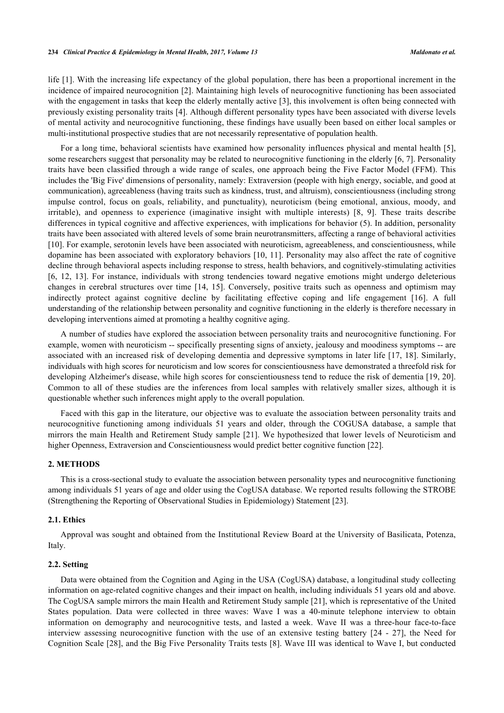life [[1](#page-8-0)]. With the increasing life expectancy of the global population, there has been a proportional increment in the incidence of impaired neurocognition [[2\]](#page-8-1). Maintaining high levels of neurocognitive functioning has been associated with the engagement in tasks that keep the elderly mentally active [\[3](#page-9-0)], this involvement is often being connected with previously existing personality traits [[4\]](#page-9-1). Although different personality types have been associated with diverse levels of mental activity and neurocognitive functioning, these findings have usually been based on either local samples or multi-institutional prospective studies that are not necessarily representative of population health.

For a long time, behavioral scientists have examined how personality influences physical and mental health [[5\]](#page-9-2), some researchers suggest that personality may be related to neurocognitive functioning in the elderly [[6,](#page-9-3) [7\]](#page-9-4). Personality traits have been classified through a wide range of scales, one approach being the Five Factor Model (FFM). This includes the 'Big Five' dimensions of personality, namely: Extraversion (people with high energy, sociable, and good at communication), agreeableness (having traits such as kindness, trust, and altruism), conscientiousness (including strong impulse control, focus on goals, reliability, and punctuality), neuroticism (being emotional, anxious, moody, and irritable), and openness to experience (imaginative insight with multiple interests) [\[8](#page-9-5), [9](#page-9-6)]. These traits describe differences in typical cognitive and affective experiences, with implications for behavior (5). In addition, personality traits have been associated with altered levels of some brain neurotransmitters, affecting a range of behavioral activities [\[10](#page-9-7)]. For example, serotonin levels have been associated with neuroticism, agreeableness, and conscientiousness, while dopamine has been associated with exploratory behaviors [[10](#page-9-7), [11](#page-9-8)]. Personality may also affect the rate of cognitive decline through behavioral aspects including response to stress, health behaviors, and cognitively-stimulating activities [\[6](#page-9-3), [12](#page-9-9), [13\]](#page-9-10). For instance, individuals with strong tendencies toward negative emotions might undergo deleterious changes in cerebral structures over time [\[14,](#page-9-11) [15](#page-9-12)]. Conversely, positive traits such as openness and optimism may indirectly protect against cognitive decline by facilitating effective coping and life engagement [\[16\]](#page-9-13). A full understanding of the relationship between personality and cognitive functioning in the elderly is therefore necessary in developing interventions aimed at promoting a healthy cognitive aging.

A number of studies have explored the association between personality traits and neurocognitive functioning. For example, women with neuroticism -- specifically presenting signs of anxiety, jealousy and moodiness symptoms -- are associated with an increased risk of developing dementia and depressive symptoms in later life [\[17](#page-9-14), [18\]](#page-9-15). Similarly, individuals with high scores for neuroticism and low scores for conscientiousness have demonstrated a threefold risk for developing Alzheimer's disease, while high scores for conscientiousness tend to reduce the risk of dementia [[19](#page-9-16), [20\]](#page-9-17). Common to all of these studies are the inferences from local samples with relatively smaller sizes, although it is questionable whether such inferences might apply to the overall population.

Faced with this gap in the literature, our objective was to evaluate the association between personality traits and neurocognitive functioning among individuals 51 years and older, through the COGUSA database, a sample that mirrors the main Health and Retirement Study sample [[21\]](#page-9-18). We hypothesized that lower levels of Neuroticism and higher Openness, Extraversion and Conscientiousness would predict better cognitive function [\[22](#page-9-19)].

### **2. METHODS**

This is a cross-sectional study to evaluate the association between personality types and neurocognitive functioning among individuals 51 years of age and older using the CogUSA database. We reported results following the STROBE (Strengthening the Reporting of Observational Studies in Epidemiology) Statement [[23\]](#page-9-20).

#### **2.1. Ethics**

Approval was sought and obtained from the Institutional Review Board at the University of Basilicata, Potenza, Italy.

#### **2.2. Setting**

Data were obtained from the Cognition and Aging in the USA (CogUSA) database, a longitudinal study collecting information on age-related cognitive changes and their impact on health, including individuals 51 years old and above. The CogUSA sample mirrors the main Health and Retirement Study sample [[21\]](#page-9-18), which is representative of the United States population. Data were collected in three waves: Wave I was a 40-minute telephone interview to obtain information on demography and neurocognitive tests, and lasted a week. Wave II was a three-hour face-to-face interview assessing neurocognitive function with the use of an extensive testing battery [\[24](#page-9-21) - [27\]](#page-10-0), the Need for Cognition Scale [\[28\]](#page-10-1), and the Big Five Personality Traits tests [[8](#page-9-5)]. Wave III was identical to Wave I, but conducted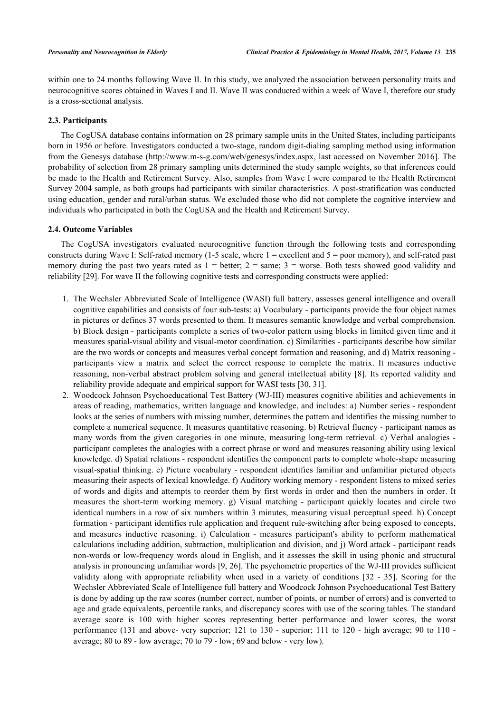within one to 24 months following Wave II. In this study, we analyzed the association between personality traits and neurocognitive scores obtained in Waves I and II. Wave II was conducted within a week of Wave I, therefore our study is a cross-sectional analysis.

#### **2.3. Participants**

The CogUSA database contains information on 28 primary sample units in the United States, including participants born in 1956 or before. Investigators conducted a two-stage, random digit-dialing sampling method using information from the Genesys database ([http://www.m-s-g.com/web/genesys/index.aspx,](http://www.m-s-g.com/web/genesys/index.aspx) last accessed on November 2016]. The probability of selection from 28 primary sampling units determined the study sample weights, so that inferences could be made to the Health and Retirement Survey. Also, samples from Wave I were compared to the Health Retirement Survey 2004 sample, as both groups had participants with similar characteristics. A post-stratification was conducted using education, gender and rural/urban status. We excluded those who did not complete the cognitive interview and individuals who participated in both the CogUSA and the Health and Retirement Survey.

#### **2.4. Outcome Variables**

The CogUSA investigators evaluated neurocognitive function through the following tests and corresponding constructs during Wave I: Self-rated memory (1-5 scale, where  $1 =$  excellent and  $5 =$  poor memory), and self-rated past memory during the past two years rated as  $1 =$  better;  $2 =$  same;  $3 =$  worse. Both tests showed good validity and reliability [\[29](#page-10-2)]. For wave II the following cognitive tests and corresponding constructs were applied:

- 1. The Wechsler Abbreviated Scale of Intelligence (WASI) full battery, assesses general intelligence and overall cognitive capabilities and consists of four sub-tests: a) Vocabulary - participants provide the four object names in pictures or defines 37 words presented to them. It measures semantic knowledge and verbal comprehension. b) Block design - participants complete a series of two-color pattern using blocks in limited given time and it measures spatial-visual ability and visual-motor coordination. c) Similarities - participants describe how similar are the two words or concepts and measures verbal concept formation and reasoning, and d) Matrix reasoning participants view a matrix and select the correct response to complete the matrix. It measures inductive reasoning, non-verbal abstract problem solving and general intellectual ability [\[8\]](#page-9-5). Its reported validity and reliability provide adequate and empirical support for WASI tests [[30,](#page-10-3) [31\]](#page-10-4).
- 2. Woodcock Johnson Psychoeducational Test Battery (WJ-III) measures cognitive abilities and achievements in areas of reading, mathematics, written language and knowledge, and includes: a) Number series - respondent looks at the series of numbers with missing number, determines the pattern and identifies the missing number to complete a numerical sequence. It measures quantitative reasoning. b) Retrieval fluency - participant names as many words from the given categories in one minute, measuring long-term retrieval. c) Verbal analogies participant completes the analogies with a correct phrase or word and measures reasoning ability using lexical knowledge. d) Spatial relations - respondent identifies the component parts to complete whole-shape measuring visual-spatial thinking. e) Picture vocabulary - respondent identifies familiar and unfamiliar pictured objects measuring their aspects of lexical knowledge. f) Auditory working memory - respondent listens to mixed series of words and digits and attempts to reorder them by first words in order and then the numbers in order. It measures the short-term working memory. g) Visual matching - participant quickly locates and circle two identical numbers in a row of six numbers within 3 minutes, measuring visual perceptual speed. h) Concept formation - participant identifies rule application and frequent rule-switching after being exposed to concepts, and measures inductive reasoning. i) Calculation - measures participant's ability to perform mathematical calculations including addition, subtraction, multiplication and division, and j) Word attack - participant reads non-words or low-frequency words aloud in English, and it assesses the skill in using phonic and structural analysis in pronouncing unfamiliar words [[9,](#page-9-6) [26](#page-10-5)]. The psychometric properties of the WJ-III provides sufficient validity along with appropriate reliability when used in a variety of conditions[[32](#page-10-6) - [35\]](#page-10-7). Scoring for the Wechsler Abbreviated Scale of Intelligence full battery and Woodcock Johnson Psychoeducational Test Battery is done by adding up the raw scores (number correct, number of points, or number of errors) and is converted to age and grade equivalents, percentile ranks, and discrepancy scores with use of the scoring tables. The standard average score is 100 with higher scores representing better performance and lower scores, the worst performance (131 and above- very superior; 121 to 130 - superior; 111 to 120 - high average; 90 to 110 average; 80 to 89 - low average; 70 to 79 - low; 69 and below - very low).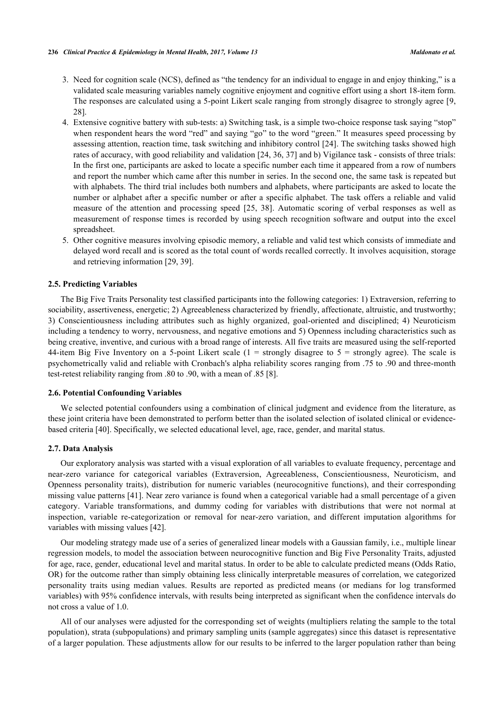- 3. Need for cognition scale (NCS), defined as "the tendency for an individual to engage in and enjoy thinking," is a validated scale measuring variables namely cognitive enjoyment and cognitive effort using a short 18-item form. The responses are calculated using a 5-point Likert scale ranging from strongly disagree to strongly agree [[9](#page-9-6), [28\]](#page-10-1).
- 4. Extensive cognitive battery with sub-tests: a) Switching task, is a simple two-choice response task saying "stop" when respondent hears the word "red" and saying "go" to the word "green." It measures speed processing by assessing attention, reaction time, task switching and inhibitory control [[24](#page-9-21)]. The switching tasks showed high rates of accuracy, with good reliability and validation [[24,](#page-9-21) [36,](#page-10-8) [37\]](#page-10-9) and b) Vigilance task - consists of three trials: In the first one, participants are asked to locate a specific number each time it appeared from a row of numbers and report the number which came after this number in series. In the second one, the same task is repeated but with alphabets. The third trial includes both numbers and alphabets, where participants are asked to locate the number or alphabet after a specific number or after a specific alphabet. The task offers a reliable and valid measure of the attention and processing speed [\[25](#page-10-10), [38](#page-10-11)]. Automatic scoring of verbal responses as well as measurement of response times is recorded by using speech recognition software and output into the excel spreadsheet.
- 5. Other cognitive measures involving episodic memory, a reliable and valid test which consists of immediate and delayed word recall and is scored as the total count of words recalled correctly. It involves acquisition, storage and retrieving information [\[29](#page-10-2), [39](#page-10-12)].

#### **2.5. Predicting Variables**

The Big Five Traits Personality test classified participants into the following categories: 1) Extraversion, referring to sociability, assertiveness, energetic; 2) Agreeableness characterized by friendly, affectionate, altruistic, and trustworthy; 3) Conscientiousness including attributes such as highly organized, goal-oriented and disciplined; 4) Neuroticism including a tendency to worry, nervousness, and negative emotions and 5) Openness including characteristics such as being creative, inventive, and curious with a broad range of interests. All five traits are measured using the self-reported 44-item Big Five Inventory on a 5-point Likert scale  $(1 =$  strongly disagree to  $5 =$  strongly agree). The scale is psychometrically valid and reliable with Cronbach's alpha reliability scores ranging from .75 to .90 and three-month test-retest reliability ranging from .80 to .90, with a mean of .85 [[8\]](#page-9-5).

#### **2.6. Potential Confounding Variables**

We selected potential confounders using a combination of clinical judgment and evidence from the literature, as these joint criteria have been demonstrated to perform better than the isolated selection of isolated clinical or evidencebased criteria [\[40](#page-10-13)]. Specifically, we selected educational level, age, race, gender, and marital status.

#### **2.7. Data Analysis**

Our exploratory analysis was started with a visual exploration of all variables to evaluate frequency, percentage and near-zero variance for categorical variables (Extraversion, Agreeableness, Conscientiousness, Neuroticism, and Openness personality traits), distribution for numeric variables (neurocognitive functions), and their corresponding missing value patterns [[41\]](#page-10-14). Near zero variance is found when a categorical variable had a small percentage of a given category. Variable transformations, and dummy coding for variables with distributions that were not normal at inspection, variable re-categorization or removal for near-zero variation, and different imputation algorithms for variables with missing values [[42\]](#page-10-15).

Our modeling strategy made use of a series of generalized linear models with a Gaussian family, i.e., multiple linear regression models, to model the association between neurocognitive function and Big Five Personality Traits, adjusted for age, race, gender, educational level and marital status. In order to be able to calculate predicted means (Odds Ratio, OR) for the outcome rather than simply obtaining less clinically interpretable measures of correlation, we categorized personality traits using median values. Results are reported as predicted means (or medians for log transformed variables) with 95% confidence intervals, with results being interpreted as significant when the confidence intervals do not cross a value of 1.0.

All of our analyses were adjusted for the corresponding set of weights (multipliers relating the sample to the total population), strata (subpopulations) and primary sampling units (sample aggregates) since this dataset is representative of a larger population. These adjustments allow for our results to be inferred to the larger population rather than being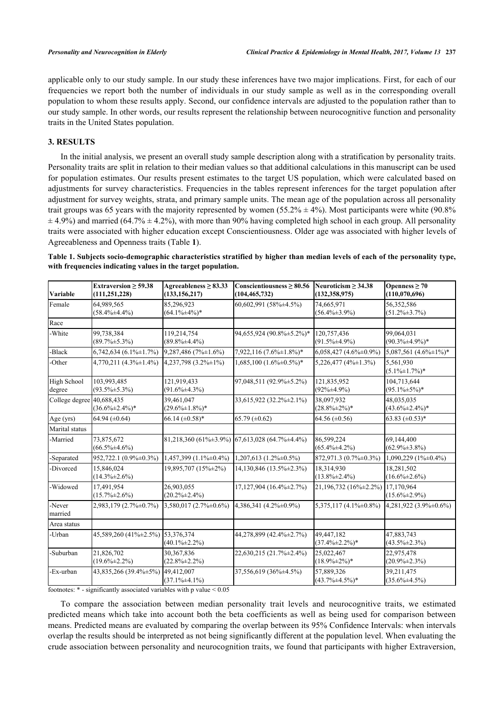applicable only to our study sample. In our study these inferences have two major implications. First, for each of our frequencies we report both the number of individuals in our study sample as well as in the corresponding overall population to whom these results apply. Second, our confidence intervals are adjusted to the population rather than to our study sample. In other words, our results represent the relationship between neurocognitive function and personality traits in the United States population.

#### **3. RESULTS**

In the initial analysis, we present an overall study sample description along with a stratification by personality traits. Personality traits are split in relation to their median values so that additional calculations in this manuscript can be used for population estimates. Our results present estimates to the target US population, which were calculated based on adjustments for survey characteristics. Frequencies in the tables represent inferences for the target population after adjustment for survey weights, strata, and primary sample units. The mean age of the population across all personality trait groups was 65 years with the majority represented by women (55.2%  $\pm$  4%). Most participants were white (90.8%)  $\pm$  4.9%) and married (64.7%  $\pm$  4.2%), with more than 90% having completed high school in each group. All personality traits were associated with higher education except Conscientiousness. Older age was associated with higher levels of Agreeableness and Openness traits (Table **[1](#page-4-0)**).

<span id="page-4-0"></span>**Table 1. Subjects socio-demographic characteristics stratified by higher than median levels of each of the personality type, with frequencies indicating values in the target population.**

| Variable              | Extraversion $\geq$ 59.38<br>(111, 251, 228) | Agreeableness $\geq 83.33$<br>(133, 156, 217) | Conscientiousness $\geq 80.56$<br>(104, 465, 732)               | Neuroticism $\geq 34.38$<br>(132, 358, 975) | Openness $\geq 70$<br>(110,070,696) |
|-----------------------|----------------------------------------------|-----------------------------------------------|-----------------------------------------------------------------|---------------------------------------------|-------------------------------------|
| Female                | 64,989,565<br>$(58.4\% \pm 4.4\%)$           | 85,296,923<br>$(64.1\% \pm 4\%)*$             | 60,602,991 (58% ± 4.5%)                                         | 74,665,971<br>$(56.4\% \pm 3.9\%)$          | 56,352,586<br>$(51.2\% \pm 3.7\%)$  |
| Race                  |                                              |                                               |                                                                 |                                             |                                     |
| -White                | 99,738,384<br>$(89.7\% \pm 5.3\%)$           | 119,214,754<br>$(89.8\% \pm 4.4\%)$           | 94,655,924 (90.8% ±5.2%)*                                       | 120,757,436<br>$(91.5\% \pm 4.9\%)$         | 99,064,031<br>$(90.3\% \pm 4.9\%)*$ |
| -Black                | $6,742,634$ $(6.1\% \pm 1.7\%)$              | $9,287,486$ (7% $\pm 1.6$ %)                  | 7,922,116 (7.6% ± 1.8%)*                                        | $6,058,427$ (4.6% $\pm$ 0.9%)               | 5,087,561 $(4.6\% \pm 1\%)$ *       |
| -Other                | $4,770,211$ $(4.3\% \pm 1.4\%)$              | $4,237,798$ $(3.2\% \pm 1\%)$                 | $1,685,100$ $(1.6\% \pm 0.5\%)*$                                | $5,226,477$ (4\% $\pm 1.3\%$ )              | 5,561,930<br>$(5.1\% \pm 1.7\%)$ *  |
| High School<br>degree | 103,993,485<br>$(93.5\% \pm 5.3\%)$          | 121,919,433<br>$(91.6\% \pm 4.3\%)$           | 97,048,511 (92.9% ± 5.2%)                                       | 121,835,952<br>$(92\% \pm 4.9\%)$           | 104.713.644<br>$(95.1\% \pm 5\%)*$  |
| College degree        | 40,688,435<br>$(36.6\% \pm 2.4\%)*$          | 39.461.047<br>$(29.6\% \pm 1.8\%)*$           | 33,615,922 (32.2%±2.1%)                                         | 38,097,932<br>$(28.8\% \pm 2\%)$ *          | 48,035,035<br>$(43.6\% \pm 2.4\%)*$ |
| Age (yrs)             | 64.94 $(\pm 0.64)$                           | 66.14 $(\pm 0.58)$ *                          | 65.79 $(\pm 0.62)$                                              | 64.56 $(\pm 0.56)$                          | 63.83 $(\pm 0.53)^*$                |
| Marital status        |                                              |                                               |                                                                 |                                             |                                     |
| -Married              | 73,875,672<br>$(66.5\% \pm 4.6\%)$           |                                               | $81,218,360$ (61% $\pm 3.9\%$ ) 67,613,028 (64.7% $\pm 4.4\%$ ) | 86,599,224<br>$(65.4\% \pm 4.2\%)$          | 69,144,400<br>$(62.9\% \pm 3.8\%)$  |
| -Separated            | $952,722.1(0.9\% \pm 0.3\%)$                 | $1,457,399$ $(1.1\% \pm 0.4\%)$               | $1,207,613$ $(1.2\% \pm 0.5\%)$                                 | 872,971.3 (0.7% ± 0.3%)                     | $1,090,229$ (1% $\pm$ 0.4%)         |
| -Divorced             | 15,846,024<br>$(14.3\% \pm 2.6\%)$           | 19,895,707 (15%±2%)                           | 14,130,846 (13.5% ± 2.3%)                                       | 18,314,930<br>$(13.8\% \pm 2.4\%)$          | 18,281,502<br>$(16.6\% \pm 2.6\%)$  |
| -Widowed              | 17,491,954<br>$(15.7\% \pm 2.6\%)$           | 26,903,055<br>$(20.2\% \pm 2.4\%)$            | $17,127,904$ (16.4% $\pm$ 2.7%)                                 | 21,196,732 (16%±2.2%)                       | 17.170.964<br>$(15.6\% \pm 2.9\%)$  |
| -Never<br>married     | 2,983,179 (2.7% ± 0.7%)                      | $3,580,017(2.7\% \pm 0.6\%)$                  | 4,386,341 (4.2% ± 0.9%)                                         | 5,375,117 (4.1% $\pm$ 0.8%)                 | $4,281,922$ $(3.9\% \pm 0.6\%)$     |
| Area status           |                                              |                                               |                                                                 |                                             |                                     |
| -Urban                | 45,589,260 (41%±2.5%)                        | 53.376.374<br>$(40.1\% \pm 2.2\%)$            | 44,278,899 (42.4%±2.7%)                                         | 49,447,182<br>$(37.4\% \pm 2.2\%)*$         | 47,883,743<br>$(43.5\% \pm 2.3\%)$  |
| -Suburban             | 21,826,702<br>$(19.6\% \pm 2.2\%)$           | 30,367,836<br>$(22.8\% \pm 2.2\%)$            | 22,630,215 (21.7% ± 2.4%)                                       | 25,022,467<br>$(18.9\% \pm 2\%)$ *          | 22,975,478<br>$(20.9\% \pm 2.3\%)$  |
| -Ex-urban             | 43,835,266 (39.4% ± 5%) 49,412,007           | $(37.1\% \pm 4.1\%)$                          | 37,556,619 (36% ± 4.5%)                                         | 57.889.326<br>$(43.7\% \pm 4.5\%)*$         | 39.211.475<br>$(35.6\% \pm 4.5\%)$  |

footnotes:  $*$  - significantly associated variables with p value  $< 0.05$ 

To compare the association between median personality trait levels and neurocognitive traits, we estimated predicted means which take into account both the beta coefficients as well as being used for comparison between means. Predicted means are evaluated by comparing the overlap between its 95% Confidence Intervals: when intervals overlap the results should be interpreted as not being significantly different at the population level. When evaluating the crude association between personality and neurocognition traits, we found that participants with higher Extraversion,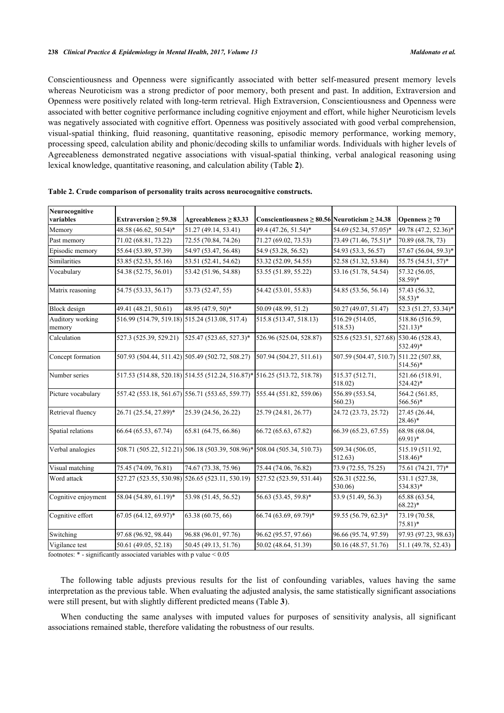Conscientiousness and Openness were significantly associated with better self-measured present memory levels whereas Neuroticism was a strong predictor of poor memory, both present and past. In addition, Extraversion and Openness were positively related with long-term retrieval. High Extraversion, Conscientiousness and Openness were associated with better cognitive performance including cognitive enjoyment and effort, while higher Neuroticism levels was negatively associated with cognitive effort. Openness was positively associated with good verbal comprehension, visual-spatial thinking, fluid reasoning, quantitative reasoning, episodic memory performance, working memory, processing speed, calculation ability and phonic/decoding skills to unfamiliar words. Individuals with higher levels of Agreeableness demonstrated negative associations with visual-spatial thinking, verbal analogical reasoning using lexical knowledge, quantitative reasoning, and calculation ability (Table **[2](#page-5-0)**).

| Neurocognitive             |                                                |                                                                          |                                                         |                                        |                                          |
|----------------------------|------------------------------------------------|--------------------------------------------------------------------------|---------------------------------------------------------|----------------------------------------|------------------------------------------|
| variables                  | Extraversion $\geq$ 59.38                      | Agreeableness $\geq 83.33$                                               | Conscientiousness $\geq 80.56$ Neuroticism $\geq 34.38$ |                                        | Openness $\geq 70$                       |
| Memory                     | 48.58 (46.62, 50.54)*                          | 51.27 (49.14, 53.41)                                                     | 49.4 (47.26, 51.54)*                                    | 54.69 (52.34, 57.05)*                  | 49.78 (47.2, 52.36)*                     |
| Past memory                | 71.02 (68.81, 73.22)                           | 72.55 (70.84, 74.26)                                                     | 71.27 (69.02, 73.53)                                    | 73.49 (71.46, 75.51)*                  | 70.89 (68.78, 73)                        |
| Episodic memory            | 55.64 (53.89, 57.39)                           | 54.97 (53.47, 56.48)                                                     | 54.9 (53.28, 56.52)                                     | 54.93 (53.3, 56.57)                    | 57.67 (56.04, 59.3)*                     |
| <b>Similarities</b>        | 53.85 (52.53, 55.16)                           | 53.51 (52.41, 54.62)                                                     | 53.32 (52.09, 54.55)                                    | 52.58 (51.32, 53.84)                   | 55.75 (54.51, 57)*                       |
| Vocabulary                 | 54.38 (52.75, 56.01)                           | 53.42 (51.96, 54.88)                                                     | 53.55 (51.89, 55.22)                                    | 53.16 (51.78, 54.54)                   | 57.32 (56.05,<br>58.59)*                 |
| Matrix reasoning           | 54.75 (53.33, 56.17)                           | 53.73 (52.47, 55)                                                        | 54.42 (53.01, 55.83)                                    | 54.85 (53.56, 56.14)                   | 57.43 (56.32,<br>$58.53)*$               |
| Block design               | 49.41 (48.21, 50.61)                           | 48.95 (47.9, 50)*                                                        | 50.09 (48.99, 51.2)                                     | 50.27 (49.07, 51.47)                   | 52.3 (51.27, 53.34)*                     |
| Auditory working<br>memory | 516.99 (514.79, 519.18) 515.24 (513.08, 517.4) |                                                                          | 515.8 (513.47, 518.13)                                  | 516.29 (514.05,<br>518.53)             | 518.86 (516.59,<br>$521.13)*$            |
| Calculation                | 527.3 (525.39, 529.21)                         | 525.47 (523.65, 527.3)*                                                  | 526.96 (525.04, 528.87)                                 | 525.6 (523.51, 527.68) 530.46 (528.43, | 532.49)*                                 |
| Concept formation          |                                                | 507.93 (504.44, 511.42) 505.49 (502.72, 508.27)                          | 507.94 (504.27, 511.61)                                 | 507.59 (504.47, 510.7)                 | 511.22 (507.88,<br>514.56)*              |
| Number series              |                                                | 517.53 (514.88, 520.18) 514.55 (512.24, 516.87)* 516.25 (513.72, 518.78) |                                                         | 515.37 (512.71,<br>518.02)             | 521.66 (518.91,<br>$524.42$ <sup>*</sup> |
| Picture vocabulary         |                                                | 557.42 (553.18, 561.67) 556.71 (553.65, 559.77)                          | 555.44 (551.82, 559.06)                                 | 556.89 (553.54,<br>560.23              | 564.2 (561.85,<br>566.56)*               |
| Retrieval fluency          | 26.71 (25.54, 27.89)*                          | 25.39 (24.56, 26.22)                                                     | 25.79 (24.81, 26.77)                                    | 24.72 (23.73, 25.72)                   | 27.45 (26.44,<br>$28.46*$                |
| Spatial relations          | 66.64 (65.53, 67.74)                           | 65.81 (64.75, 66.86)                                                     | 66.72 (65.63, 67.82)                                    | 66.39 (65.23, 67.55)                   | 68.98 (68.04,<br>$69.91$ <sup>*</sup>    |
| Verbal analogies           |                                                | 508.71 (505.22, 512.21) 506.18 (503.39, 508.96)* 508.04 (505.34, 510.73) |                                                         | 509.34 (506.05,<br>512.63              | 515.19 (511.92,<br>$518.46*$             |
| Visual matching            | 75.45 (74.09, 76.81)                           | 74.67 (73.38, 75.96)                                                     | 75.44 (74.06, 76.82)                                    | 73.9 (72.55, 75.25)                    | 75.61 (74.21, 77)*                       |
| Word attack                |                                                | 527.27 (523.55, 530.98) 526.65 (523.11, 530.19)                          | 527.52 (523.59, 531.44)                                 | 526.31 (522.56,<br>530.06)             | 531.1 (527.38,<br>534.83)*               |
| Cognitive enjoyment        | 58.04 (54.89, 61.19)*                          | 53.98 (51.45, 56.52)                                                     | 56.63 (53.45, 59.8)*                                    | 53.9 (51.49, 56.3)                     | 65.88 (63.54,<br>$68.22$ <sup>*</sup>    |
| Cognitive effort           | 67.05 (64.12, 69.97)*                          | 63.38 (60.75, 66)                                                        | 66.74 (63.69, 69.79)*                                   | 59.55 (56.79, 62.3)*                   | 73.19 (70.58,<br>$75.81*$                |
| Switching                  | 97.68 (96.92, 98.44)                           | 96.88 (96.01, 97.76)                                                     | 96.62 (95.57, 97.66)                                    | 96.66 (95.74, 97.59)                   | 97.93 (97.23, 98.63)                     |
| Vigilance test             | 50.61 (49.05, 52.18)                           | 50.45 (49.13, 51.76)                                                     | 50.02 (48.64, 51.39)                                    | 50.16 (48.57, 51.76)                   | 51.1 (49.78, 52.43)                      |

<span id="page-5-0"></span>

footnotes: \* - significantly associated variables with p value < 0.05

The following table adjusts previous results for the list of confounding variables, values having the same interpretation as the previous table. When evaluating the adjusted analysis, the same statistically significant associations were still present, but with slightly different predicted means (Table **[3](#page-6-0)**).

When conducting the same analyses with imputed values for purposes of sensitivity analysis, all significant associations remained stable, therefore validating the robustness of our results.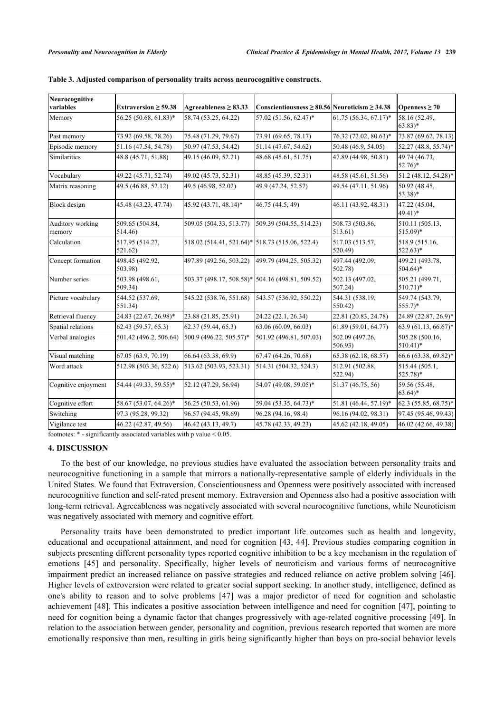| Neurocognitive<br>variables | Extraversion $\geq$ 59.38  | Agreeableness $\geq 83.33$                       | Conscientiousness $\geq 80.56$ Neuroticism $\geq 34.38$ |                            | Openness $\geq 70$                       |
|-----------------------------|----------------------------|--------------------------------------------------|---------------------------------------------------------|----------------------------|------------------------------------------|
| Memory                      | 56.25 (50.68, 61.83)*      | 58.74 (53.25, 64.22)                             | 57.02 (51.56, 62.47)*                                   | 61.75 (56.34, 67.17)*      | 58.16 (52.49,<br>$63.83)*$               |
| Past memory                 | 73.92 (69.58, 78.26)       | 75.48 (71.29, 79.67)                             | 73.91 (69.65, 78.17)                                    | 76.32 (72.02, 80.63)*      | 73.87 (69.62, 78.13)                     |
| Episodic memory             | 51.16 (47.54, 54.78)       | 50.97 (47.53, 54.42)                             | 51.14 (47.67, 54.62)                                    | 50.48 (46.9, 54.05)        | 52.27 (48.8, 55.74)*                     |
| Similarities                | 48.8 (45.71, 51.88)        | 49.15 (46.09, 52.21)                             | 48.68 (45.61, 51.75)                                    | 47.89 (44.98, 50.81)       | 49.74 (46.73,<br>$52.76*$                |
| Vocabulary                  | 49.22 (45.71, 52.74)       | 49.02 (45.73, 52.31)                             | 48.85 (45.39, 52.31)                                    | 48.58 (45.61, 51.56)       | 51.2 (48.12, 54.28)*                     |
| Matrix reasoning            | 49.5 (46.88, 52.12)        | 49.5 (46.98, 52.02)                              | 49.9 (47.24, 52.57)                                     | 49.54 (47.11, 51.96)       | 50.92 (48.45,<br>$53.38*$                |
| Block design                | 45.48 (43.23, 47.74)       | 45.92 (43.71, 48.14)*                            | 46.75 (44.5, 49)                                        | 46.11 (43.92, 48.31)       | 47.22 (45.04,<br>49.41)*                 |
| Auditory working<br>memory  | 509.65 (504.84,<br>514.46) | 509.05 (504.33, 513.77)                          | 509.39 (504.55, 514.23)                                 | 508.73 (503.86,<br>513.61) | 510.11 (505.13,<br>$515.09$ <sup>*</sup> |
| Calculation                 | 517.95 (514.27,<br>521.62) | 518.02 (514.41, 521.64)* 518.73 (515.06, 522.4)  |                                                         | 517.03 (513.57,<br>520.49) | 518.9 (515.16,<br>$522.63)*$             |
| Concept formation           | 498.45 (492.92,<br>503.98) | 497.89 (492.56, 503.22)                          | 499.79 (494.25, 505.32)                                 | 497.44 (492.09,<br>502.78) | 499.21 (493.78,<br>$504.64$ <sup>*</sup> |
| Number series               | 503.98 (498.61,<br>509.34) | 503.37 (498.17, 508.58)* 504.16 (498.81, 509.52) |                                                         | 502.13 (497.02,<br>507.24) | 505.21 (499.71,<br>$510.71$ <sup>*</sup> |
| Picture vocabulary          | 544.52 (537.69,<br>551.34) | 545.22 (538.76, 551.68)                          | 543.57 (536.92, 550.22)                                 | 544.31 (538.19,<br>550.42  | 549.74 (543.79,<br>$555.7$ *             |
| Retrieval fluency           | 24.83 (22.67, 26.98)*      | 23.88 (21.85, 25.91)                             | 24.22 (22.1, 26.34)                                     | 22.81 (20.83, 24.78)       | 24.89 (22.87, 26.9)*                     |
| Spatial relations           | 62.43 (59.57, 65.3)        | 62.37 (59.44, 65.3)                              | 63.06 (60.09, 66.03)                                    | 61.89(59.01, 64.77)        | 63.9 (61.13, 66.67)*                     |
| Verbal analogies            | 501.42 (496.2, 506.64)     | 500.9 (496.22, 505.57)*                          | 501.92 (496.81, 507.03)                                 | 502.09 (497.26,<br>506.93) | 505.28 (500.16,<br>$510.41$ <sup>*</sup> |
| Visual matching             | 67.05 (63.9, 70.19)        | 66.64 (63.38, 69.9)                              | 67.47 (64.26, 70.68)                                    | (65.38(62.18, 68.57))      | 66.6 (63.38, 69.82)*                     |
| Word attack                 | 512.98 (503.36, 522.6)     | 513.62 (503.93, 523.31)                          | 514.31 (504.32, 524.3)                                  | 512.91 (502.88,<br>522.94) | 515.44 (505.1,<br>525.78)*               |
| Cognitive enjoyment         | 54.44 (49.33, 59.55)*      | 52.12 (47.29, 56.94)                             | 54.07 (49.08, 59.05)*                                   | 51.37 (46.75, 56)          | 59.56 (55.48,<br>$63.64$ <sup>*</sup>    |
| Cognitive effort            | 58.67 (53.07, 64.26)*      | 56.25 (50.53, 61.96)                             | 59.04 (53.35, 64.73)*                                   | 51.81 (46.44, 57.19)*      | 62.3 (55.85, 68.75)*                     |
| Switching                   | 97.3 (95.28, 99.32)        | 96.57 (94.45, 98.69)                             | 96.28 (94.16, 98.4)                                     | 96.16 (94.02, 98.31)       | 97.45 (95.46, 99.43)                     |
| Vigilance test              | 46.22 (42.87, 49.56)       | 46.42 (43.13, 49.7)                              | 45.78 (42.33, 49.23)                                    | 45.62 (42.18, 49.05)       | 46.02 (42.66, 49.38)                     |

<span id="page-6-0"></span>

| Table 3. Adjusted comparison of personality traits across neurocognitive constructs. |  |  |  |
|--------------------------------------------------------------------------------------|--|--|--|
|                                                                                      |  |  |  |

footnotes: \* - significantly associated variables with p value < 0.05.

#### **4. DISCUSSION**

To the best of our knowledge, no previous studies have evaluated the association between personality traits and neurocognitive functioning in a sample that mirrors a nationally-representative sample of elderly individuals in the United States. We found that Extraversion, Conscientiousness and Openness were positively associated with increased neurocognitive function and self-rated present memory. Extraversion and Openness also had a positive association with long-term retrieval. Agreeableness was negatively associated with several neurocognitive functions, while Neuroticism was negatively associated with memory and cognitive effort.

Personality traits have been demonstrated to predict important life outcomes such as health and longevity, educational and occupational attainment, and need for cognition [[43,](#page-10-16) [44](#page-10-17)]. Previous studies comparing cognition in subjects presenting different personality types reported cognitive inhibition to be a key mechanism in the regulation of emotions[[45\]](#page-10-18) and personality. Specifically, higher levels of neuroticism and various forms of neurocognitive impairment predict an increased reliance on passive strategies and reduced reliance on active problem solving [\[46\]](#page-10-19). Higher levels of extroversion were related to greater social support seeking. In another study, intelligence, defined as one's ability to reason and to solve problems [\[47\]](#page-10-20) was a major predictor of need for cognition and scholastic achievement [[48\]](#page-10-21). This indicates a positive association between intelligence and need for cognition [\[47\]](#page-10-20), pointing to need for cognition being a dynamic factor that changes progressively with age-related cognitive processing [[49\]](#page-10-22). In relation to the association between gender, personality and cognition, previous research reported that women are more emotionally responsive than men, resulting in girls being significantly higher than boys on pro-social behavior levels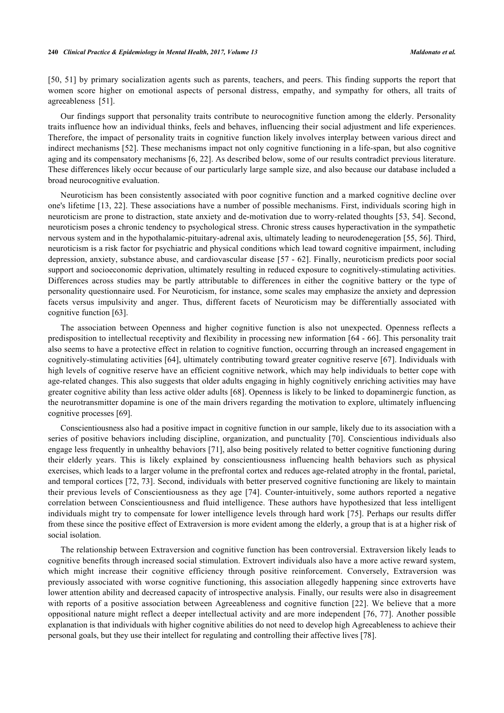[\[50](#page-11-0), [51\]](#page-11-1) by primary socialization agents such as parents, teachers, and peers. This finding supports the report that women score higher on emotional aspects of personal distress, empathy, and sympathy for others, all traits of agreeableness [\[51](#page-11-1)].

Our findings support that personality traits contribute to neurocognitive function among the elderly. Personality traits influence how an individual thinks, feels and behaves, influencing their social adjustment and life experiences. Therefore, the impact of personality traits in cognitive function likely involves interplay between various direct and indirect mechanisms [[52\]](#page-11-2). These mechanisms impact not only cognitive functioning in a life-span, but also cognitive aging and its compensatory mechanisms [[6,](#page-9-3) [22](#page-9-19)]. As described below, some of our results contradict previous literature. These differences likely occur because of our particularly large sample size, and also because our database included a broad neurocognitive evaluation.

Neuroticism has been consistently associated with poor cognitive function and a marked cognitive decline over one's lifetime [[13](#page-9-10), [22\]](#page-9-19). These associations have a number of possible mechanisms. First, individuals scoring high in neuroticism are prone to distraction, state anxiety and de-motivation due to worry-related thoughts [[53](#page-11-3), [54](#page-11-4)]. Second, neuroticism poses a chronic tendency to psychological stress. Chronic stress causes hyperactivation in the sympathetic nervous system and in the hypothalamic-pituitary-adrenal axis, ultimately leading to neurodenegeration [[55](#page-11-5), [56](#page-11-6)]. Third, neuroticism is a risk factor for psychiatric and physical conditions which lead toward cognitive impairment, including depression, anxiety, substance abuse, and cardiovascular disease [\[57](#page-11-7) - [62\]](#page-11-8). Finally, neuroticism predicts poor social support and socioeconomic deprivation, ultimately resulting in reduced exposure to cognitively-stimulating activities. Differences across studies may be partly attributable to differences in either the cognitive battery or the type of personality questionnaire used. For Neuroticism, for instance, some scales may emphasize the anxiety and depression facets versus impulsivity and anger. Thus, different facets of Neuroticism may be differentially associated with cognitive function [[63\]](#page-11-9).

The association between Openness and higher cognitive function is also not unexpected. Openness reflects a predisposition to intellectual receptivity and flexibility in processing new information [[64](#page-11-10) - [66](#page-11-11)]. This personality trait also seems to have a protective effect in relation to cognitive function, occurring through an increased engagement in cognitively-stimulating activities [[64\]](#page-11-10), ultimately contributing toward greater cognitive reserve [[67\]](#page-11-12). Individuals with high levels of cognitive reserve have an efficient cognitive network, which may help individuals to better cope with age-related changes. This also suggests that older adults engaging in highly cognitively enriching activities may have greater cognitive ability than less active older adults [\[68](#page-11-13)]. Openness is likely to be linked to dopaminergic function, as the neurotransmitter dopamine is one of the main drivers regarding the motivation to explore, ultimately influencing cognitive processes [[69\]](#page-11-14).

Conscientiousness also had a positive impact in cognitive function in our sample, likely due to its association with a series of positive behaviors including discipline, organization, and punctuality [[70](#page-11-15)]. Conscientious individuals also engage less frequently in unhealthy behaviors [\[71\]](#page-12-0), also being positively related to better cognitive functioning during their elderly years. This is likely explained by conscientiousness influencing health behaviors such as physical exercises, which leads to a larger volume in the prefrontal cortex and reduces age-related atrophy in the frontal, parietal, and temporal cortices [[72,](#page-12-1) [73](#page-12-2)]. Second, individuals with better preserved cognitive functioning are likely to maintain their previous levels of Conscientiousness as they age [\[74](#page-12-3)]. Counter-intuitively, some authors reported a negative correlation between Conscientiousness and fluid intelligence. These authors have hypothesized that less intelligent individuals might try to compensate for lower intelligence levels through hard work [[75](#page-12-4)]. Perhaps our results differ from these since the positive effect of Extraversion is more evident among the elderly, a group that is at a higher risk of social isolation.

The relationship between Extraversion and cognitive function has been controversial. Extraversion likely leads to cognitive benefits through increased social stimulation. Extrovert individuals also have a more active reward system, which might increase their cognitive efficiency through positive reinforcement. Conversely, Extraversion was previously associated with worse cognitive functioning, this association allegedly happening since extroverts have lower attention ability and decreased capacity of introspective analysis. Finally, our results were also in disagreement with reports of a positive association between Agreeableness and cognitive function [\[22\]](#page-9-19). We believe that a more oppositional nature might reflect a deeper intellectual activity and are more independent [[76,](#page-12-5) [77\]](#page-12-6). Another possible explanation is that individuals with higher cognitive abilities do not need to develop high Agreeableness to achieve their personal goals, but they use their intellect for regulating and controlling their affective lives [\[78](#page-12-7)].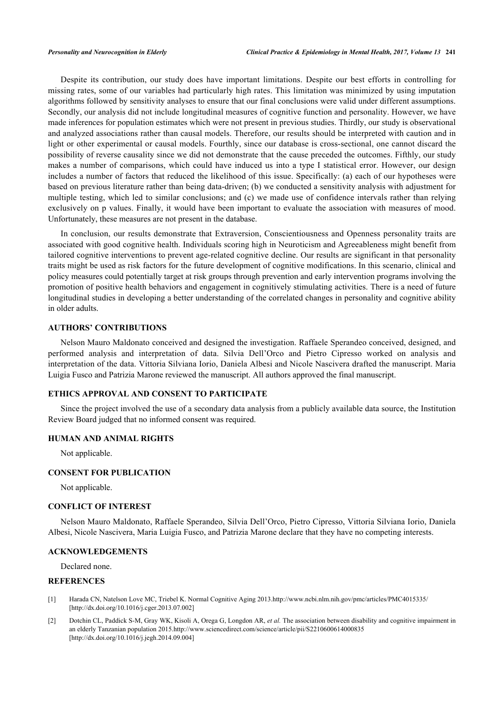Despite its contribution, our study does have important limitations. Despite our best efforts in controlling for missing rates, some of our variables had particularly high rates. This limitation was minimized by using imputation algorithms followed by sensitivity analyses to ensure that our final conclusions were valid under different assumptions. Secondly, our analysis did not include longitudinal measures of cognitive function and personality. However, we have made inferences for population estimates which were not present in previous studies. Thirdly, our study is observational and analyzed associations rather than causal models. Therefore, our results should be interpreted with caution and in light or other experimental or causal models. Fourthly, since our database is cross-sectional, one cannot discard the possibility of reverse causality since we did not demonstrate that the cause preceded the outcomes. Fifthly, our study makes a number of comparisons, which could have induced us into a type I statistical error. However, our design includes a number of factors that reduced the likelihood of this issue. Specifically: (a) each of our hypotheses were based on previous literature rather than being data-driven; (b) we conducted a sensitivity analysis with adjustment for multiple testing, which led to similar conclusions; and (c) we made use of confidence intervals rather than relying exclusively on p values. Finally, it would have been important to evaluate the association with measures of mood. Unfortunately, these measures are not present in the database.

In conclusion, our results demonstrate that Extraversion, Conscientiousness and Openness personality traits are associated with good cognitive health. Individuals scoring high in Neuroticism and Agreeableness might benefit from tailored cognitive interventions to prevent age-related cognitive decline. Our results are significant in that personality traits might be used as risk factors for the future development of cognitive modifications. In this scenario, clinical and policy measures could potentially target at risk groups through prevention and early intervention programs involving the promotion of positive health behaviors and engagement in cognitively stimulating activities. There is a need of future longitudinal studies in developing a better understanding of the correlated changes in personality and cognitive ability in older adults.

#### **AUTHORS' CONTRIBUTIONS**

Nelson Mauro Maldonato conceived and designed the investigation. Raffaele Sperandeo conceived, designed, and performed analysis and interpretation of data. Silvia Dell'Orco and Pietro Cipresso worked on analysis and interpretation of the data. Vittoria Silviana Iorio, Daniela Albesi and Nicole Nascivera drafted the manuscript. Maria Luigia Fusco and Patrizia Marone reviewed the manuscript. All authors approved the final manuscript.

#### **ETHICS APPROVAL AND CONSENT TO PARTICIPATE**

Since the project involved the use of a secondary data analysis from a publicly available data source, the Institution Review Board judged that no informed consent was required.

#### **HUMAN AND ANIMAL RIGHTS**

Not applicable.

#### **CONSENT FOR PUBLICATION**

Not applicable.

#### **CONFLICT OF INTEREST**

Nelson Mauro Maldonato, Raffaele Sperandeo, Silvia Dell'Orco, Pietro Cipresso, Vittoria Silviana Iorio, Daniela Albesi, Nicole Nascivera, Maria Luigia Fusco, and Patrizia Marone declare that they have no competing interests.

#### **ACKNOWLEDGEMENTS**

Declared none.

# **REFERENCES**

- <span id="page-8-0"></span>[1] Harada CN, Natelson Love MC, Triebel K. Normal Cognitive Aging 2013[.http://www.ncbi.nlm.nih.gov/pmc/articles/PMC4015335/](http://www.ncbi.nlm.nih.gov/pmc/articles/PMC4015335/) [\[http://dx.doi.org/10.1016/j.cger.2013.07.002\]](http://dx.doi.org/10.1016/j.cger.2013.07.002)
- <span id="page-8-1"></span>[2] Dotchin CL, Paddick S-M, Gray WK, Kisoli A, Orega G, Longdon AR, *et al.* The association between disability and cognitive impairment in an elderly Tanzanian population 2015[.http://www.sciencedirect.com/science/article/pii/S2210600614000835](http://www.sciencedirect.com/science/article/pii/S2210600614000835) [\[http://dx.doi.org/10.1016/j.jegh.2014.09.004\]](http://dx.doi.org/10.1016/j.jegh.2014.09.004)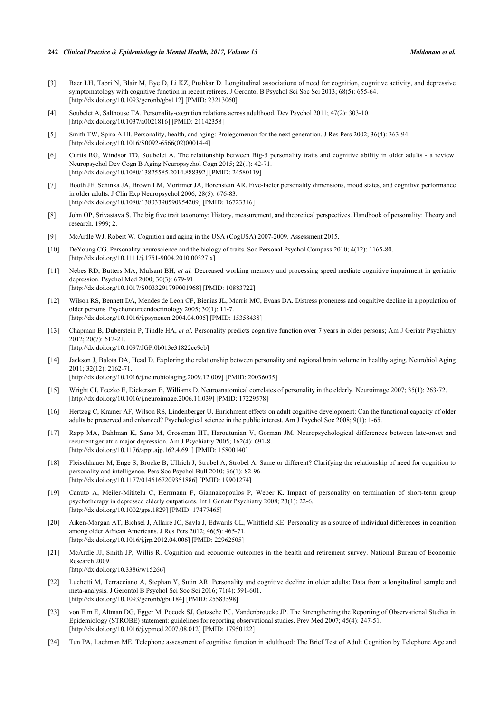- <span id="page-9-0"></span>[3] Baer LH, Tabri N, Blair M, Bye D, Li KZ, Pushkar D. Longitudinal associations of need for cognition, cognitive activity, and depressive symptomatology with cognitive function in recent retirees. J Gerontol B Psychol Sci Soc Sci 2013; 68(5): 655-64. [\[http://dx.doi.org/10.1093/geronb/gbs112](http://dx.doi.org/10.1093/geronb/gbs112)] [PMID: [23213060\]](http://www.ncbi.nlm.nih.gov/pubmed/23213060)
- <span id="page-9-1"></span>[4] Soubelet A, Salthouse TA. Personality-cognition relations across adulthood. Dev Psychol 2011; 47(2): 303-10. [\[http://dx.doi.org/10.1037/a0021816](http://dx.doi.org/10.1037/a0021816)] [PMID: [21142358\]](http://www.ncbi.nlm.nih.gov/pubmed/21142358)
- <span id="page-9-2"></span>[5] Smith TW, Spiro A III. Personality, health, and aging: Prolegomenon for the next generation. J Res Pers 2002; 36(4): 363-94. [\[http://dx.doi.org/10.1016/S0092-6566\(02\)00014-4\]](http://dx.doi.org/10.1016/S0092-6566(02)00014-4)
- <span id="page-9-3"></span>[6] Curtis RG, Windsor TD, Soubelet A. The relationship between Big-5 personality traits and cognitive ability in older adults - a review. Neuropsychol Dev Cogn B Aging Neuropsychol Cogn 2015; 22(1): 42-71. [\[http://dx.doi.org/10.1080/13825585.2014.888392\]](http://dx.doi.org/10.1080/13825585.2014.888392) [PMID: [24580119](http://www.ncbi.nlm.nih.gov/pubmed/24580119)]
- <span id="page-9-4"></span>[7] Booth JE, Schinka JA, Brown LM, Mortimer JA, Borenstein AR. Five-factor personality dimensions, mood states, and cognitive performance in older adults. J Clin Exp Neuropsychol 2006; 28(5): 676-83. [\[http://dx.doi.org/10.1080/13803390590954209\]](http://dx.doi.org/10.1080/13803390590954209) [PMID: [16723316](http://www.ncbi.nlm.nih.gov/pubmed/16723316)]
- <span id="page-9-5"></span>[8] John OP, Srivastava S. The big five trait taxonomy: History, measurement, and theoretical perspectives. Handbook of personality: Theory and research. 1999; 2.
- <span id="page-9-6"></span>[9] McArdle WJ, Robert W. Cognition and aging in the USA (CogUSA) 2007-2009. Assessment 2015.
- <span id="page-9-7"></span>[10] DeYoung CG. Personality neuroscience and the biology of traits. Soc Personal Psychol Compass 2010; 4(12): 1165-80. [\[http://dx.doi.org/10.1111/j.1751-9004.2010.00327.x\]](http://dx.doi.org/10.1111/j.1751-9004.2010.00327.x)
- <span id="page-9-8"></span>[11] Nebes RD, Butters MA, Mulsant BH, *et al.* Decreased working memory and processing speed mediate cognitive impairment in geriatric depression. Psychol Med 2000; 30(3): 679-91. [\[http://dx.doi.org/10.1017/S0033291799001968](http://dx.doi.org/10.1017/S0033291799001968)] [PMID: [10883722\]](http://www.ncbi.nlm.nih.gov/pubmed/10883722)
- <span id="page-9-9"></span>[12] Wilson RS, Bennett DA, Mendes de Leon CF, Bienias JL, Morris MC, Evans DA. Distress proneness and cognitive decline in a population of older persons. Psychoneuroendocrinology 2005; 30(1): 11-7. [\[http://dx.doi.org/10.1016/j.psyneuen.2004.04.005](http://dx.doi.org/10.1016/j.psyneuen.2004.04.005)] [PMID: [15358438\]](http://www.ncbi.nlm.nih.gov/pubmed/15358438)
- <span id="page-9-10"></span>[13] Chapman B, Duberstein P, Tindle HA, *et al.* Personality predicts cognitive function over 7 years in older persons; Am J Geriatr Psychiatry 2012; 20(7): 612-21. [\[http://dx.doi.org/10.1097/JGP.0b013e31822cc9cb](http://dx.doi.org/10.1097/JGP.0b013e31822cc9cb)]
- <span id="page-9-11"></span>[14] Jackson J, Balota DA, Head D. Exploring the relationship between personality and regional brain volume in healthy aging. Neurobiol Aging  $2011: 32(12): 2162-71$ [\[http://dx.doi.org/10.1016/j.neurobiolaging.2009.12.009](http://dx.doi.org/10.1016/j.neurobiolaging.2009.12.009)] [PMID: [20036035](http://www.ncbi.nlm.nih.gov/pubmed/20036035)]
- <span id="page-9-12"></span>[15] Wright CI, Feczko E, Dickerson B, Williams D. Neuroanatomical correlates of personality in the elderly. Neuroimage 2007; 35(1): 263-72. [\[http://dx.doi.org/10.1016/j.neuroimage.2006.11.039\]](http://dx.doi.org/10.1016/j.neuroimage.2006.11.039) [PMID: [17229578](http://www.ncbi.nlm.nih.gov/pubmed/17229578)]
- <span id="page-9-13"></span>[16] Hertzog C, Kramer AF, Wilson RS, Lindenberger U. Enrichment effects on adult cognitive development: Can the functional capacity of older adults be preserved and enhanced? Psychological science in the public interest. Am J Psychol Soc 2008; 9(1): 1-65.
- <span id="page-9-14"></span>[17] Rapp MA, Dahlman K, Sano M, Grossman HT, Haroutunian V, Gorman JM. Neuropsychological differences between late-onset and recurrent geriatric major depression. Am J Psychiatry 2005; 162(4): 691-8. [\[http://dx.doi.org/10.1176/appi.ajp.162.4.691](http://dx.doi.org/10.1176/appi.ajp.162.4.691)] [PMID: [15800140\]](http://www.ncbi.nlm.nih.gov/pubmed/15800140)
- <span id="page-9-15"></span>[18] Fleischhauer M, Enge S, Brocke B, Ullrich J, Strobel A, Strobel A. Same or different? Clarifying the relationship of need for cognition to personality and intelligence. Pers Soc Psychol Bull 2010; 36(1): 82-96. [\[http://dx.doi.org/10.1177/0146167209351886\]](http://dx.doi.org/10.1177/0146167209351886) [PMID: [19901274](http://www.ncbi.nlm.nih.gov/pubmed/19901274)]
- <span id="page-9-16"></span>[19] Canuto A, Meiler-Mititelu C, Herrmann F, Giannakopoulos P, Weber K. Impact of personality on termination of short-term group psychotherapy in depressed elderly outpatients. Int J Geriatr Psychiatry 2008; 23(1): 22-6. [\[http://dx.doi.org/10.1002/gps.1829\]](http://dx.doi.org/10.1002/gps.1829) [PMID: [17477465](http://www.ncbi.nlm.nih.gov/pubmed/17477465)]
- <span id="page-9-17"></span>[20] Aiken-Morgan AT, Bichsel J, Allaire JC, Savla J, Edwards CL, Whitfield KE. Personality as a source of individual differences in cognition among older African Americans. J Res Pers 2012; 46(5): 465-71. [\[http://dx.doi.org/10.1016/j.jrp.2012.04.006\]](http://dx.doi.org/10.1016/j.jrp.2012.04.006) [PMID: [22962505](http://www.ncbi.nlm.nih.gov/pubmed/22962505)]
- <span id="page-9-18"></span>[21] McArdle JJ, Smith JP, Willis R. Cognition and economic outcomes in the health and retirement survey. National Bureau of Economic Research 2009. [\[http://dx.doi.org/10.3386/w15266\]](http://dx.doi.org/10.3386/w15266)
- <span id="page-9-19"></span>[22] Luchetti M, Terracciano A, Stephan Y, Sutin AR. Personality and cognitive decline in older adults: Data from a longitudinal sample and meta-analysis. J Gerontol B Psychol Sci Soc Sci 2016; 71(4): 591-601. [\[http://dx.doi.org/10.1093/geronb/gbu184](http://dx.doi.org/10.1093/geronb/gbu184)] [PMID: [25583598\]](http://www.ncbi.nlm.nih.gov/pubmed/25583598)
- <span id="page-9-20"></span>[23] von Elm E, Altman DG, Egger M, Pocock SJ, Gøtzsche PC, Vandenbroucke JP. The Strengthening the Reporting of Observational Studies in Epidemiology (STROBE) statement: guidelines for reporting observational studies. Prev Med 2007; 45(4): 247-51. [\[http://dx.doi.org/10.1016/j.ypmed.2007.08.012\]](http://dx.doi.org/10.1016/j.ypmed.2007.08.012) [PMID: [17950122](http://www.ncbi.nlm.nih.gov/pubmed/17950122)]
- <span id="page-9-21"></span>[24] Tun PA, Lachman ME. Telephone assessment of cognitive function in adulthood: The Brief Test of Adult Cognition by Telephone Age and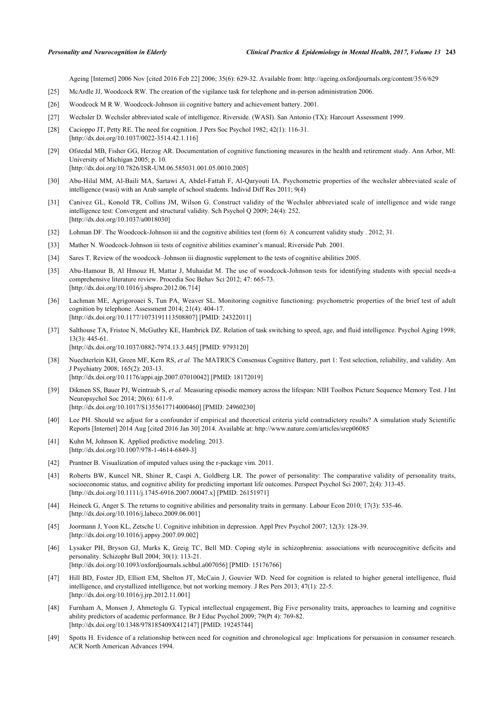Ageing [Internet] 2006 Nov [cited 2016 Feb 22] 2006; 35(6): 629-32. Available from:<http://ageing.oxfordjournals.org/content/35/6/629>

- <span id="page-10-10"></span>[25] McArdle JJ, Woodcock RW. The creation of the vigilance task for telephone and in-person administration 2006.
- <span id="page-10-5"></span>[26] Woodcock M R W. Woodcock-Johnson iii cognitive battery and achievement battery. 2001.
- <span id="page-10-0"></span>[27] Wechsler D. Wechsler abbreviated scale of intelligence. Riverside. (WASI). San Antonio (TX): Harcourt Assessment 1999.
- <span id="page-10-1"></span>[28] Cacioppo JT, Petty RE. The need for cognition. J Pers Soc Psychol 1982; 42(1): 116-31. [\[http://dx.doi.org/10.1037/0022-3514.42.1.116](http://dx.doi.org/10.1037/0022-3514.42.1.116)]
- <span id="page-10-2"></span>[29] Ofstedal MB, Fisher GG, Herzog AR. Documentation of cognitive functioning measures in the health and retirement study. Ann Arbor, MI: University of Michigan 2005; p. 10. [\[http://dx.doi.org/10.7826/ISR-UM.06.585031.001.05.0010.2005\]](http://dx.doi.org/10.7826/ISR-UM.06.585031.001.05.0010.2005)
- <span id="page-10-3"></span>[30] Abu-Hilal MM, Al-Baili MA, Sartawi A, Abdel-Fattah F, Al-Qaryouti IA. Psychometric properties of the wechsler abbreviated scale of intelligence (wasi) with an Arab sample of school students. Individ Diff Res 2011; 9(4)
- <span id="page-10-4"></span>[31] Canivez GL, Konold TR, Collins JM, Wilson G. Construct validity of the Wechsler abbreviated scale of intelligence and wide range intelligence test: Convergent and structural validity. Sch Psychol Q 2009; 24(4): 252. [\[http://dx.doi.org/10.1037/a0018030](http://dx.doi.org/10.1037/a0018030)]
- <span id="page-10-6"></span>[32] Lohman DF. The Woodcock-Johnson iii and the cognitive abilities test (form 6): A concurrent validity study . 2012; 31.
- [33] Mather N. Woodcock-Johnson iii tests of cognitive abilities examiner's manual; Riverside Pub. 2001.
- [34] Sares T. Review of the woodcock–Johnson iii diagnostic supplement to the tests of cognitive abilities 2005.
- <span id="page-10-7"></span>[35] Abu-Hamour B, Al Hmouz H, Mattar J, Muhaidat M. The use of woodcock-Johnson tests for identifying students with special needs-a comprehensive literature review. Procedia Soc Behav Sci 2012; 47: 665-73. [\[http://dx.doi.org/10.1016/j.sbspro.2012.06.714\]](http://dx.doi.org/10.1016/j.sbspro.2012.06.714)
- <span id="page-10-8"></span>[36] Lachman ME, Agrigoroaei S, Tun PA, Weaver SL. Monitoring cognitive functioning: psychometric properties of the brief test of adult cognition by telephone. Assessment 2014; 21(4): 404-17. [\[http://dx.doi.org/10.1177/1073191113508807\]](http://dx.doi.org/10.1177/1073191113508807) [PMID: [24322011](http://www.ncbi.nlm.nih.gov/pubmed/24322011)]
- <span id="page-10-9"></span>[37] Salthouse TA, Fristoe N, McGuthry KE, Hambrick DZ. Relation of task switching to speed, age, and fluid intelligence. Psychol Aging 1998; 13(3): 445-61. [\[http://dx.doi.org/10.1037/0882-7974.13.3.445](http://dx.doi.org/10.1037/0882-7974.13.3.445)] [PMID: [9793120](http://www.ncbi.nlm.nih.gov/pubmed/9793120)]
- <span id="page-10-11"></span>[38] Nuechterlein KH, Green MF, Kern RS, *et al.* The MATRICS Consensus Cognitive Battery, part 1: Test selection, reliability, and validity. Am J Psychiatry 2008; 165(2): 203-13. [\[http://dx.doi.org/10.1176/appi.ajp.2007.07010042](http://dx.doi.org/10.1176/appi.ajp.2007.07010042)] [PMID: [18172019\]](http://www.ncbi.nlm.nih.gov/pubmed/18172019)
- <span id="page-10-12"></span>[39] Dikmen SS, Bauer PJ, Weintraub S, *et al.* Measuring episodic memory across the lifespan: NIH Toolbox Picture Sequence Memory Test. J Int Neuropsychol Soc 2014; 20(6): 611-9. [\[http://dx.doi.org/10.1017/S1355617714000460](http://dx.doi.org/10.1017/S1355617714000460)] [PMID: [24960230\]](http://www.ncbi.nlm.nih.gov/pubmed/24960230)
- <span id="page-10-13"></span>[40] Lee PH. Should we adjust for a confounder if empirical and theoretical criteria yield contradictory results? A simulation study Scientific Reports [Internet] 2014 Aug [cited 2016 Jan 30] 2014. Available at:<http://www.nature.com/articles/srep06085>
- <span id="page-10-14"></span>[41] Kuhn M, Johnson K. Applied predictive modeling. 2013. [\[http://dx.doi.org/10.1007/978-1-4614-6849-3](http://dx.doi.org/10.1007/978-1-4614-6849-3)]
- <span id="page-10-15"></span>[42] Prantner B. Visualization of imputed values using the r-package vim. 2011.
- <span id="page-10-16"></span>[43] Roberts BW, Kuncel NR, Shiner R, Caspi A, Goldberg LR. The power of personality: The comparative validity of personality traits, socioeconomic status, and cognitive ability for predicting important life outcomes. Perspect Psychol Sci 2007; 2(4): 313-45. [\[http://dx.doi.org/10.1111/j.1745-6916.2007.00047.x\]](http://dx.doi.org/10.1111/j.1745-6916.2007.00047.x) [PMID: [26151971](http://www.ncbi.nlm.nih.gov/pubmed/26151971)]
- <span id="page-10-17"></span>[44] Heineck G, Anger S. The returns to cognitive abilities and personality traits in germany. Labour Econ 2010; 17(3): 535-46. [\[http://dx.doi.org/10.1016/j.labeco.2009.06.001\]](http://dx.doi.org/10.1016/j.labeco.2009.06.001)
- <span id="page-10-18"></span>[45] Joormann J, Yoon KL, Zetsche U. Cognitive inhibition in depression. Appl Prev Psychol 2007; 12(3): 128-39. [\[http://dx.doi.org/10.1016/j.appsy.2007.09.002\]](http://dx.doi.org/10.1016/j.appsy.2007.09.002)
- <span id="page-10-19"></span>[46] Lysaker PH, Bryson GJ, Marks K, Greig TC, Bell MD. Coping style in schizophrenia: associations with neurocognitive deficits and personality. Schizophr Bull 2004; 30(1): 113-21. [\[http://dx.doi.org/10.1093/oxfordjournals.schbul.a007056](http://dx.doi.org/10.1093/oxfordjournals.schbul.a007056)] [PMID: [15176766\]](http://www.ncbi.nlm.nih.gov/pubmed/15176766)
- <span id="page-10-20"></span>[47] Hill BD, Foster JD, Elliott EM, Shelton JT, McCain J, Gouvier WD. Need for cognition is related to higher general intelligence, fluid intelligence, and crystallized intelligence, but not working memory. J Res Pers 2013; 47(1): 22-5. [\[http://dx.doi.org/10.1016/j.jrp.2012.11.001\]](http://dx.doi.org/10.1016/j.jrp.2012.11.001)
- <span id="page-10-21"></span>[48] Furnham A, Monsen J, Ahmetoglu G. Typical intellectual engagement, Big Five personality traits, approaches to learning and cognitive ability predictors of academic performance. Br J Educ Psychol 2009; 79(Pt 4): 769-82. [\[http://dx.doi.org/10.1348/978185409X412147\]](http://dx.doi.org/10.1348/978185409X412147) [PMID: [19245744](http://www.ncbi.nlm.nih.gov/pubmed/19245744)]
- <span id="page-10-22"></span>[49] Spotts H. Evidence of a relationship between need for cognition and chronological age: Implications for persuasion in consumer research. ACR North American Advances 1994.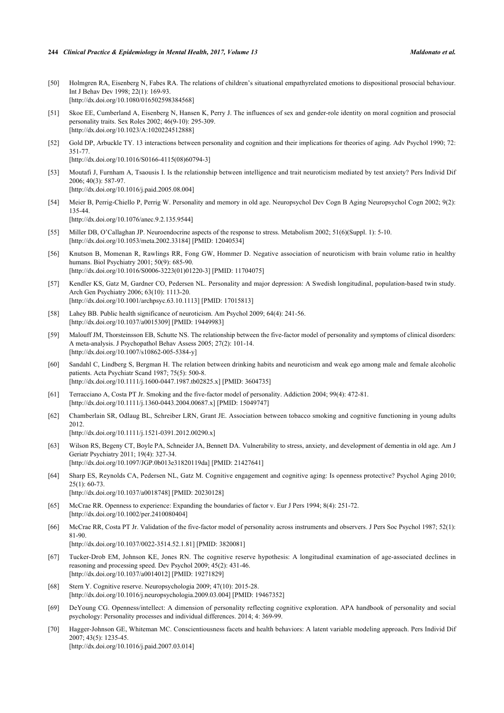- <span id="page-11-0"></span>[50] Holmgren RA, Eisenberg N, Fabes RA. The relations of children's situational empathyrelated emotions to dispositional prosocial behaviour. Int J Behav Dev 1998; 22(1): 169-93. [\[http://dx.doi.org/10.1080/016502598384568\]](http://dx.doi.org/10.1080/016502598384568)
- <span id="page-11-1"></span>[51] Skoe EE, Cumberland A, Eisenberg N, Hansen K, Perry J. The influences of sex and gender-role identity on moral cognition and prosocial personality traits. Sex Roles 2002; 46(9-10): 295-309. [\[http://dx.doi.org/10.1023/A:1020224512888\]](http://dx.doi.org/10.1023/A:1020224512888)
- <span id="page-11-2"></span>[52] Gold DP, Arbuckle TY. 13 interactions between personality and cognition and their implications for theories of aging. Adv Psychol 1990; 72: 351-77. [\[http://dx.doi.org/10.1016/S0166-4115\(08\)60794-3\]](http://dx.doi.org/10.1016/S0166-4115(08)60794-3)
- <span id="page-11-3"></span>[53] Moutafi J, Furnham A, Tsaousis I. Is the relationship between intelligence and trait neuroticism mediated by test anxiety? Pers Individ Dif 2006; 40(3): 587-97. [\[http://dx.doi.org/10.1016/j.paid.2005.08.004\]](http://dx.doi.org/10.1016/j.paid.2005.08.004)
- <span id="page-11-4"></span>[54] Meier B, Perrig-Chiello P, Perrig W. Personality and memory in old age. Neuropsychol Dev Cogn B Aging Neuropsychol Cogn 2002; 9(2): 135-44. [\[http://dx.doi.org/10.1076/anec.9.2.135.9544](http://dx.doi.org/10.1076/anec.9.2.135.9544)]
- <span id="page-11-5"></span>[55] Miller DB, O'Callaghan JP. Neuroendocrine aspects of the response to stress. Metabolism 2002; 51(6)(Suppl. 1): 5-10. [\[http://dx.doi.org/10.1053/meta.2002.33184](http://dx.doi.org/10.1053/meta.2002.33184)] [PMID: [12040534\]](http://www.ncbi.nlm.nih.gov/pubmed/12040534)
- <span id="page-11-6"></span>[56] Knutson B, Momenan R, Rawlings RR, Fong GW, Hommer D. Negative association of neuroticism with brain volume ratio in healthy humans. Biol Psychiatry 2001; 50(9): 685-90. [\[http://dx.doi.org/10.1016/S0006-3223\(01\)01220-3\]](http://dx.doi.org/10.1016/S0006-3223(01)01220-3) [PMID: [11704075](http://www.ncbi.nlm.nih.gov/pubmed/11704075)]
- <span id="page-11-7"></span>[57] Kendler KS, Gatz M, Gardner CO, Pedersen NL. Personality and major depression: A Swedish longitudinal, population-based twin study. Arch Gen Psychiatry 2006; 63(10): 1113-20. [\[http://dx.doi.org/10.1001/archpsyc.63.10.1113](http://dx.doi.org/10.1001/archpsyc.63.10.1113)] [PMID: [17015813\]](http://www.ncbi.nlm.nih.gov/pubmed/17015813)
- [58] Lahey BB. Public health significance of neuroticism. Am Psychol 2009; 64(4): 241-56. [\[http://dx.doi.org/10.1037/a0015309](http://dx.doi.org/10.1037/a0015309)] [PMID: [19449983\]](http://www.ncbi.nlm.nih.gov/pubmed/19449983)
- [59] Malouff JM, Thorsteinsson EB, Schutte NS. The relationship between the five-factor model of personality and symptoms of clinical disorders: A meta-analysis. J Psychopathol Behav Assess 2005; 27(2): 101-14. [\[http://dx.doi.org/10.1007/s10862-005-5384-y\]](http://dx.doi.org/10.1007/s10862-005-5384-y)
- [60] Sandahl C, Lindberg S, Bergman H. The relation between drinking habits and neuroticism and weak ego among male and female alcoholic patients. Acta Psychiatr Scand 1987; 75(5): 500-8. [\[http://dx.doi.org/10.1111/j.1600-0447.1987.tb02825.x\]](http://dx.doi.org/10.1111/j.1600-0447.1987.tb02825.x) [PMID: [3604735](http://www.ncbi.nlm.nih.gov/pubmed/3604735)]
- [61] Terracciano A, Costa PT Jr. Smoking and the five-factor model of personality. Addiction 2004; 99(4): 472-81. [\[http://dx.doi.org/10.1111/j.1360-0443.2004.00687.x\]](http://dx.doi.org/10.1111/j.1360-0443.2004.00687.x) [PMID: [15049747](http://www.ncbi.nlm.nih.gov/pubmed/15049747)]
- <span id="page-11-8"></span>[62] Chamberlain SR, Odlaug BL, Schreiber LRN, Grant JE. Association between tobacco smoking and cognitive functioning in young adults 2012.
	- [\[http://dx.doi.org/10.1111/j.1521-0391.2012.00290.x\]](http://dx.doi.org/10.1111/j.1521-0391.2012.00290.x)
- <span id="page-11-9"></span>[63] Wilson RS, Begeny CT, Boyle PA, Schneider JA, Bennett DA. Vulnerability to stress, anxiety, and development of dementia in old age. Am J Geriatr Psychiatry 2011; 19(4): 327-34. [\[http://dx.doi.org/10.1097/JGP.0b013e31820119da](http://dx.doi.org/10.1097/JGP.0b013e31820119da)] [PMID: [21427641\]](http://www.ncbi.nlm.nih.gov/pubmed/21427641)
- <span id="page-11-10"></span>[64] Sharp ES, Reynolds CA, Pedersen NL, Gatz M. Cognitive engagement and cognitive aging: Is openness protective? Psychol Aging 2010; 25(1): 60-73. [\[http://dx.doi.org/10.1037/a0018748](http://dx.doi.org/10.1037/a0018748)] [PMID: [20230128\]](http://www.ncbi.nlm.nih.gov/pubmed/20230128)
- [65] McCrae RR. Openness to experience: Expanding the boundaries of factor v. Eur J Pers 1994; 8(4): 251-72. [\[http://dx.doi.org/10.1002/per.2410080404](http://dx.doi.org/10.1002/per.2410080404)]
- <span id="page-11-11"></span>[66] McCrae RR, Costa PT Jr. Validation of the five-factor model of personality across instruments and observers. J Pers Soc Psychol 1987; 52(1): 81-90.
	- [\[http://dx.doi.org/10.1037/0022-3514.52.1.81](http://dx.doi.org/10.1037/0022-3514.52.1.81)] [PMID: [3820081](http://www.ncbi.nlm.nih.gov/pubmed/3820081)]
- <span id="page-11-12"></span>[67] Tucker-Drob EM, Johnson KE, Jones RN. The cognitive reserve hypothesis: A longitudinal examination of age-associated declines in reasoning and processing speed. Dev Psychol 2009; 45(2): 431-46. [\[http://dx.doi.org/10.1037/a0014012](http://dx.doi.org/10.1037/a0014012)] [PMID: [19271829\]](http://www.ncbi.nlm.nih.gov/pubmed/19271829)
- <span id="page-11-13"></span>[68] Stern Y. Cognitive reserve. Neuropsychologia 2009; 47(10): 2015-28. [\[http://dx.doi.org/10.1016/j.neuropsychologia.2009.03.004\]](http://dx.doi.org/10.1016/j.neuropsychologia.2009.03.004) [PMID: [19467352](http://www.ncbi.nlm.nih.gov/pubmed/19467352)]
- <span id="page-11-14"></span>[69] DeYoung CG. Openness/intellect: A dimension of personality reflecting cognitive exploration. APA handbook of personality and social psychology: Personality processes and individual differences. 2014; 4: 369-99.
- <span id="page-11-15"></span>[70] Hagger-Johnson GE, Whiteman MC. Conscientiousness facets and health behaviors: A latent variable modeling approach. Pers Individ Dif 2007; 43(5): 1235-45. [\[http://dx.doi.org/10.1016/j.paid.2007.03.014\]](http://dx.doi.org/10.1016/j.paid.2007.03.014)